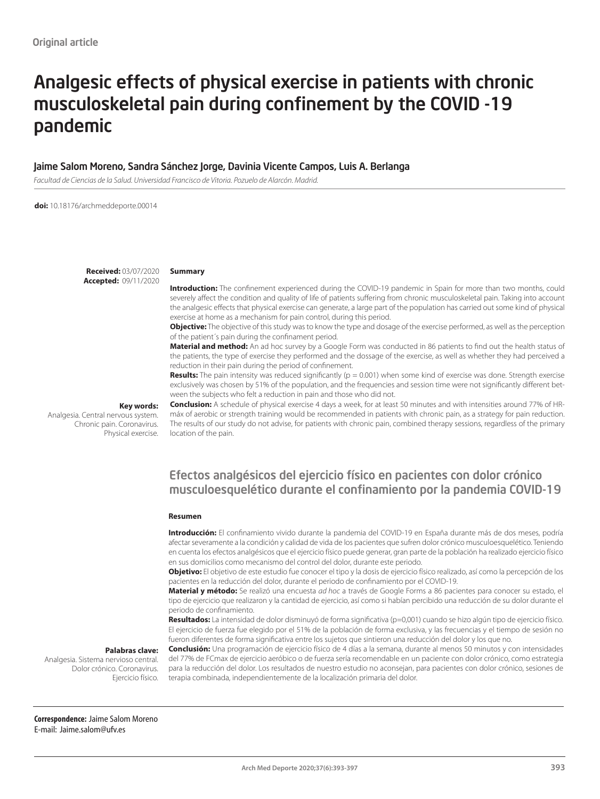# Analgesic effects of physical exercise in patients with chronic musculoskeletal pain during confinement by the COVID -19 pandemic

#### Jaime Salom Moreno, Sandra Sánchez Jorge, Davinia Vicente Campos, Luis A. Berlanga

*Facultad de Ciencias de la Salud. Universidad Francisco de Vitoria. Pozuelo de Alarcón. Madrid.*

**doi:** 10.18176/archmeddeporte.00014

**Received:** 03/07/2020 **Accepted:** 09/11/2020

#### **Summary**

**Introduction:** The confinement experienced during the COVID-19 pandemic in Spain for more than two months, could severely affect the condition and quality of life of patients suffering from chronic musculoskeletal pain. Taking into account the analgesic effects that physical exercise can generate, a large part of the population has carried out some kind of physical exercise at home as a mechanism for pain control, during this period.

**Objective:** The objective of this study was to know the type and dosage of the exercise performed, as well as the perception of the patient´s pain during the confinament period.

**Material and method:** An ad hoc survey by a Google Form was conducted in 86 patients to find out the health status of the patients, the type of exercise they performed and the dossage of the exercise, as well as whether they had perceived a reduction in their pain during the period of confinement.

Results: The pain intensity was reduced significantly (p = 0.001) when some kind of exercise was done. Strength exercise exclusively was chosen by 51% of the population, and the frequencies and session time were not significantly different between the subjects who felt a reduction in pain and those who did not.

**Key words:** 

Analgesia. Central nervous system. Chronic pain. Coronavirus. Physical exercise.

**Conclusion:** A schedule of physical exercise 4 days a week, for at least 50 minutes and with intensities around 77% of HRmáx of aerobic or strength training would be recommended in patients with chronic pain, as a strategy for pain reduction. The results of our study do not advise, for patients with chronic pain, combined therapy sessions, regardless of the primary location of the pain.

### Efectos analgésicos del ejercicio físico en pacientes con dolor crónico musculoesquelético durante el confinamiento por la pandemia COVID-19

#### **Resumen**

**Introducción:** El confinamiento vivido durante la pandemia del COVID-19 en España durante más de dos meses, podría afectar severamente a la condición y calidad de vida de los pacientes que sufren dolor crónico musculoesquelético. Teniendo en cuenta los efectos analgésicos que el ejercicio físico puede generar, gran parte de la población ha realizado ejercicio físico en sus domicilios como mecanismo del control del dolor, durante este periodo.

**Objetivo:** El objetivo de este estudio fue conocer el tipo y la dosis de ejercicio físico realizado, así como la percepción de los pacientes en la reducción del dolor, durante el periodo de confinamiento por el COVID-19.

**Material y método:** Se realizó una encuesta *ad hoc* a través de Google Forms a 86 pacientes para conocer su estado, el tipo de ejercicio que realizaron y la cantidad de ejercicio, así como si habían percibido una reducción de su dolor durante el periodo de confinamiento.

**Resultados:** La intensidad de dolor disminuyó de forma significativa (p=0,001) cuando se hizo algún tipo de ejercicio físico. El ejercicio de fuerza fue elegido por el 51% de la población de forma exclusiva, y las frecuencias y el tiempo de sesión no fueron diferentes de forma significativa entre los sujetos que sintieron una reducción del dolor y los que no.

### **Palabras clave:**

Analgesia. Sistema nervioso central. Dolor crónico. Coronavirus. Ejercicio físico.

**Conclusión:** Una programación de ejercicio físico de 4 días a la semana, durante al menos 50 minutos y con intensidades del 77% de FCmax de ejercicio aeróbico o de fuerza sería recomendable en un paciente con dolor crónico, como estrategia para la reducción del dolor. Los resultados de nuestro estudio no aconsejan, para pacientes con dolor crónico, sesiones de terapia combinada, independientemente de la localización primaria del dolor.

#### **Correspondence:** Jaime Salom Moreno E-mail: Jaime.salom@ufv.es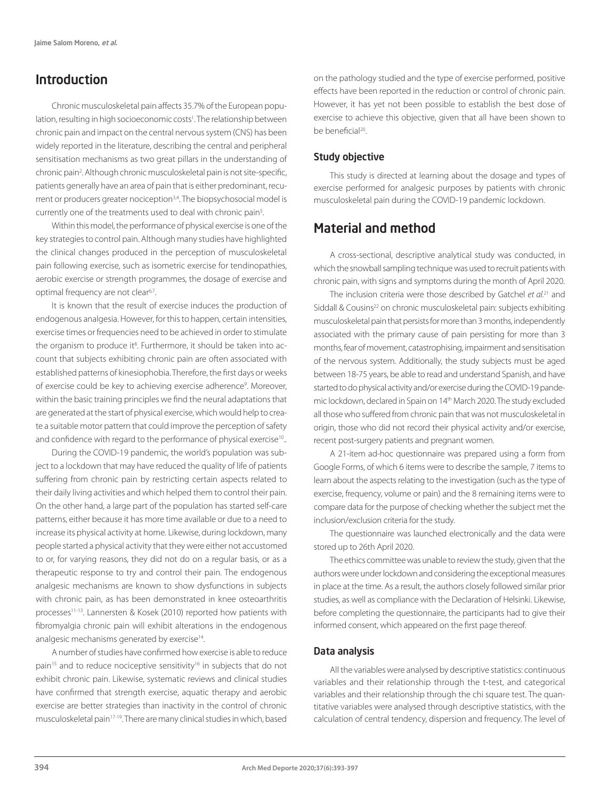# Introduction

Chronic musculoskeletal pain affects 35.7% of the European population, resulting in high socioeconomic costs<sup>1</sup>. The relationship between chronic pain and impact on the central nervous system (CNS) has been widely reported in the literature, describing the central and peripheral sensitisation mechanisms as two great pillars in the understanding of chronic pain2 . Although chronic musculoskeletal pain is not site-specific, patients generally have an area of pain that is either predominant, recurrent or producers greater nociception<sup>3,4</sup>. The biopsychosocial model is currently one of the treatments used to deal with chronic pain<sup>5</sup>. .

Within this model, the performance of physical exercise is one of the key strategies to control pain. Although many studies have highlighted the clinical changes produced in the perception of musculoskeletal pain following exercise, such as isometric exercise for tendinopathies, aerobic exercise or strength programmes, the dosage of exercise and optimal frequency are not clear<sup>6,7</sup>.

It is known that the result of exercise induces the production of endogenous analgesia. However, for this to happen, certain intensities, exercise times or frequencies need to be achieved in order to stimulate the organism to produce it<sup>8</sup>. Furthermore, it should be taken into account that subjects exhibiting chronic pain are often associated with established patterns of kinesiophobia. Therefore, the first days or weeks of exercise could be key to achieving exercise adherence<sup>9</sup>. Moreover, within the basic training principles we find the neural adaptations that are generated at the start of physical exercise, which would help to create a suitable motor pattern that could improve the perception of safety and confidence with regard to the performance of physical exercise<sup>10</sup>..

During the COVID-19 pandemic, the world's population was subject to a lockdown that may have reduced the quality of life of patients suffering from chronic pain by restricting certain aspects related to their daily living activities and which helped them to control their pain. On the other hand, a large part of the population has started self-care patterns, either because it has more time available or due to a need to increase its physical activity at home. Likewise, during lockdown, many people started a physical activity that they were either not accustomed to or, for varying reasons, they did not do on a regular basis, or as a therapeutic response to try and control their pain. The endogenous analgesic mechanisms are known to show dysfunctions in subjects with chronic pain, as has been demonstrated in knee osteoarthritis processes<sup>11-13</sup>. Lannersten & Kosek (2010) reported how patients with fibromyalgia chronic pain will exhibit alterations in the endogenous analgesic mechanisms generated by exercise<sup>14</sup>.

A number of studies have confirmed how exercise is able to reduce pain<sup>15</sup> and to reduce nociceptive sensitivity<sup>16</sup> in subjects that do not exhibit chronic pain. Likewise, systematic reviews and clinical studies have confirmed that strength exercise, aquatic therapy and aerobic exercise are better strategies than inactivity in the control of chronic musculoskeletal pain<sup>17-19</sup>. There are many clinical studies in which, based

on the pathology studied and the type of exercise performed, positive effects have been reported in the reduction or control of chronic pain. However, it has yet not been possible to establish the best dose of exercise to achieve this objective, given that all have been shown to be beneficial<sup>20</sup>.

### Study objective

This study is directed at learning about the dosage and types of exercise performed for analgesic purposes by patients with chronic musculoskeletal pain during the COVID-19 pandemic lockdown.

# Material and method

A cross-sectional, descriptive analytical study was conducted, in which the snowball sampling technique was used to recruit patients with chronic pain, with signs and symptoms during the month of April 2020.

The inclusion criteria were those described by Gatchel *et al.*21 and Siddall & Cousins<sup>22</sup> on chronic musculoskeletal pain: subjects exhibiting musculoskeletal pain that persists for more than 3 months, independently associated with the primary cause of pain persisting for more than 3 months, fear of movement, catastrophising, impairment and sensitisation of the nervous system. Additionally, the study subjects must be aged between 18-75 years, be able to read and understand Spanish, and have started to do physical activity and/or exercise during the COVID-19 pandemic lockdown, declared in Spain on 14th March 2020. The study excluded all those who suffered from chronic pain that was not musculoskeletal in origin, those who did not record their physical activity and/or exercise, recent post-surgery patients and pregnant women.

A 21-item ad-hoc questionnaire was prepared using a form from Google Forms, of which 6 items were to describe the sample, 7 items to learn about the aspects relating to the investigation (such as the type of exercise, frequency, volume or pain) and the 8 remaining items were to compare data for the purpose of checking whether the subject met the inclusion/exclusion criteria for the study.

The questionnaire was launched electronically and the data were stored up to 26th April 2020.

The ethics committee was unable to review the study, given that the authors were under lockdown and considering the exceptional measures in place at the time. As a result, the authors closely followed similar prior studies, as well as compliance with the Declaration of Helsinki. Likewise, before completing the questionnaire, the participants had to give their informed consent, which appeared on the first page thereof.

### Data analysis

All the variables were analysed by descriptive statistics: continuous variables and their relationship through the t-test, and categorical variables and their relationship through the chi square test. The quantitative variables were analysed through descriptive statistics, with the calculation of central tendency, dispersion and frequency. The level of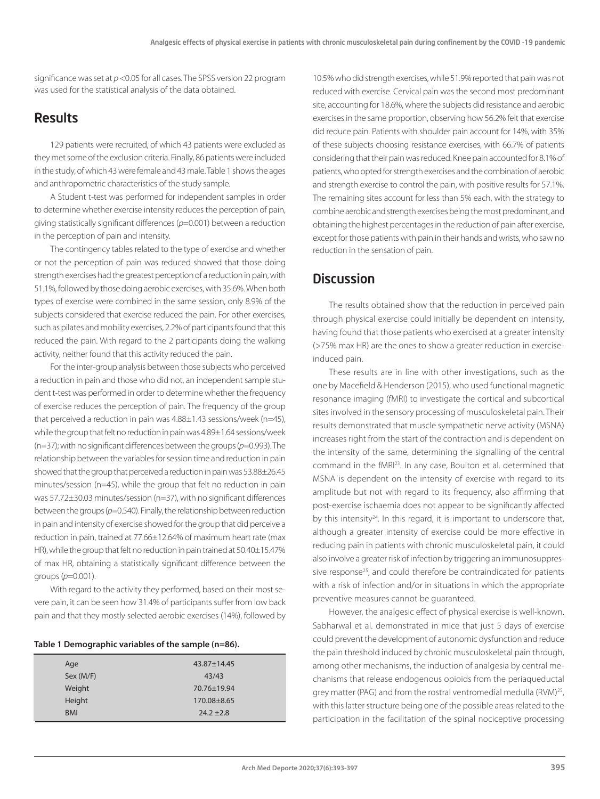significance was set at *p* <0.05 for all cases. The SPSS version 22 program was used for the statistical analysis of the data obtained.

# **Results**

129 patients were recruited, of which 43 patients were excluded as they met some of the exclusion criteria. Finally, 86 patients were included in the study, of which 43 were female and 43 male. Table 1 shows the ages and anthropometric characteristics of the study sample.

A Student t-test was performed for independent samples in order to determine whether exercise intensity reduces the perception of pain, giving statistically significant differences (*p*=0.001) between a reduction in the perception of pain and intensity.

The contingency tables related to the type of exercise and whether or not the perception of pain was reduced showed that those doing strength exercises had the greatest perception of a reduction in pain, with 51.1%, followed by those doing aerobic exercises, with 35.6%. When both types of exercise were combined in the same session, only 8.9% of the subjects considered that exercise reduced the pain. For other exercises, such as pilates and mobility exercises, 2.2% of participants found that this reduced the pain. With regard to the 2 participants doing the walking activity, neither found that this activity reduced the pain.

For the inter-group analysis between those subjects who perceived a reduction in pain and those who did not, an independent sample student t-test was performed in order to determine whether the frequency of exercise reduces the perception of pain. The frequency of the group that perceived a reduction in pain was  $4.88\pm1.43$  sessions/week (n=45), while the group that felt no reduction in pain was 4.89±1.64 sessions/week (n=37); with no significant differences between the groups (*p*=0.993). The relationship between the variables for session time and reduction in pain showed that the group that perceived a reduction in pain was 53.88±26.45 minutes/session (n=45), while the group that felt no reduction in pain was 57.72±30.03 minutes/session (n=37), with no significant differences between the groups (*p*=0.540). Finally, the relationship between reduction in pain and intensity of exercise showed for the group that did perceive a reduction in pain, trained at 77.66±12.64% of maximum heart rate (max HR), while the group that felt no reduction in pain trained at 50.40±15.47% of max HR, obtaining a statistically significant difference between the groups (*p*=0.001).

With regard to the activity they performed, based on their most severe pain, it can be seen how 31.4% of participants suffer from low back pain and that they mostly selected aerobic exercises (14%), followed by

|  |  | Table 1 Demographic variables of the sample (n=86). |  |
|--|--|-----------------------------------------------------|--|
|  |  |                                                     |  |

| Age        | $43.87 \pm 14.45$ |
|------------|-------------------|
| Sex (M/F)  | 43/43             |
| Weight     | 70.76±19.94       |
| Height     | 170.08±8.65       |
| <b>BMI</b> | $24.2 \pm 2.8$    |

10.5% who did strength exercises, while 51.9% reported that pain was not reduced with exercise. Cervical pain was the second most predominant site, accounting for 18.6%, where the subjects did resistance and aerobic exercises in the same proportion, observing how 56.2% felt that exercise did reduce pain. Patients with shoulder pain account for 14%, with 35% of these subjects choosing resistance exercises, with 66.7% of patients considering that their pain was reduced. Knee pain accounted for 8.1% of patients, who opted for strength exercises and the combination of aerobic and strength exercise to control the pain, with positive results for 57.1%. The remaining sites account for less than 5% each, with the strategy to combine aerobic and strength exercises being the most predominant, and obtaining the highest percentages in the reduction of pain after exercise, except for those patients with pain in their hands and wrists, who saw no reduction in the sensation of pain.

### **Discussion**

The results obtained show that the reduction in perceived pain through physical exercise could initially be dependent on intensity, having found that those patients who exercised at a greater intensity (>75% max HR) are the ones to show a greater reduction in exerciseinduced pain.

These results are in line with other investigations, such as the one by Macefield & Henderson (2015), who used functional magnetic resonance imaging (fMRI) to investigate the cortical and subcortical sites involved in the sensory processing of musculoskeletal pain. Their results demonstrated that muscle sympathetic nerve activity (MSNA) increases right from the start of the contraction and is dependent on the intensity of the same, determining the signalling of the central command in the fMRI23. In any case, Boulton et al. determined that MSNA is dependent on the intensity of exercise with regard to its amplitude but not with regard to its frequency, also affirming that post-exercise ischaemia does not appear to be significantly affected by this intensity<sup>24</sup>. In this regard, it is important to underscore that, although a greater intensity of exercise could be more effective in reducing pain in patients with chronic musculoskeletal pain, it could also involve a greater risk of infection by triggering an immunosuppressive response<sup>25</sup>, and could therefore be contraindicated for patients with a risk of infection and/or in situations in which the appropriate preventive measures cannot be guaranteed.

However, the analgesic effect of physical exercise is well-known. Sabharwal et al. demonstrated in mice that just 5 days of exercise could prevent the development of autonomic dysfunction and reduce the pain threshold induced by chronic musculoskeletal pain through, among other mechanisms, the induction of analgesia by central mechanisms that release endogenous opioids from the periaqueductal grey matter (PAG) and from the rostral ventromedial medulla (RVM)<sup>25</sup>, with this latter structure being one of the possible areas related to the participation in the facilitation of the spinal nociceptive processing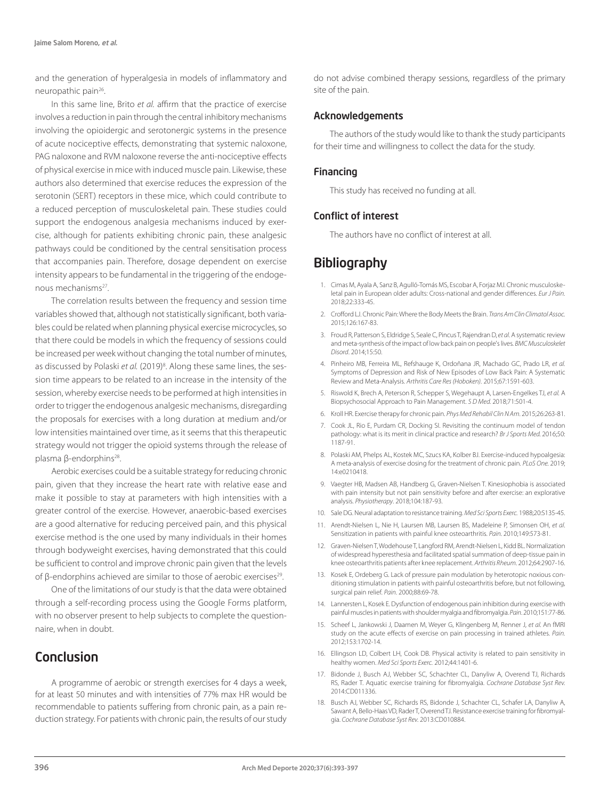and the generation of hyperalgesia in models of inflammatory and neuropathic pain<sup>26</sup>.

In this same line, Brito *et al.* affirm that the practice of exercise involves a reduction in pain through the central inhibitory mechanisms involving the opioidergic and serotonergic systems in the presence of acute nociceptive effects, demonstrating that systemic naloxone, PAG naloxone and RVM naloxone reverse the anti-nociceptive effects of physical exercise in mice with induced muscle pain. Likewise, these authors also determined that exercise reduces the expression of the serotonin (SERT) receptors in these mice, which could contribute to a reduced perception of musculoskeletal pain. These studies could support the endogenous analgesia mechanisms induced by exercise, although for patients exhibiting chronic pain, these analgesic pathways could be conditioned by the central sensitisation process that accompanies pain. Therefore, dosage dependent on exercise intensity appears to be fundamental in the triggering of the endogenous mechanisms<sup>27</sup>.

The correlation results between the frequency and session time variables showed that, although not statistically significant, both variables could be related when planning physical exercise microcycles, so that there could be models in which the frequency of sessions could be increased per week without changing the total number of minutes, as discussed by Polaski et al. (2019)<sup>8</sup>. Along these same lines, the session time appears to be related to an increase in the intensity of the session, whereby exercise needs to be performed at high intensities in order to trigger the endogenous analgesic mechanisms, disregarding the proposals for exercises with a long duration at medium and/or low intensities maintained over time, as it seems that this therapeutic strategy would not trigger the opioid systems through the release of plasma β-endorphins<sup>28</sup>.

Aerobic exercises could be a suitable strategy for reducing chronic pain, given that they increase the heart rate with relative ease and make it possible to stay at parameters with high intensities with a greater control of the exercise. However, anaerobic-based exercises are a good alternative for reducing perceived pain, and this physical exercise method is the one used by many individuals in their homes through bodyweight exercises, having demonstrated that this could be sufficient to control and improve chronic pain given that the levels of β-endorphins achieved are similar to those of aerobic exercises<sup>29</sup>.

One of the limitations of our study is that the data were obtained through a self-recording process using the Google Forms platform, with no observer present to help subjects to complete the questionnaire, when in doubt.

### Conclusion

A programme of aerobic or strength exercises for 4 days a week, for at least 50 minutes and with intensities of 77% max HR would be recommendable to patients suffering from chronic pain, as a pain reduction strategy. For patients with chronic pain, the results of our study do not advise combined therapy sessions, regardless of the primary site of the pain.

#### Acknowledgements

The authors of the study would like to thank the study participants for their time and willingness to collect the data for the study.

#### Financing

This study has received no funding at all.

#### Conflict of interest

The authors have no conflict of interest at all.

## **Bibliography**

- 1. Cimas M, Ayala A, Sanz B, Agulló-Tomás MS, Escobar A, Forjaz MJ. Chronic musculoskeletal pain in European older adults: Cross-national and gender differences. *Eur J Pain.* 2018;22:333-45.
- 2. Crofford LJ. Chronic Pain: Where the Body Meets the Brain. *Trans Am Clin Climatol Assoc.* 2015;126:167-83.
- 3. Froud R, Patterson S, Eldridge S, Seale C, Pincus T, Rajendran D, *et al*. A systematic review and meta-synthesis of the impact of low back pain on people's lives. *BMC Musculoskelet Disord*. 2014;15:50.
- 4. Pinheiro MB, Ferreira ML, Refshauge K, Ordoñana JR, Machado GC, Prado LR, *et al.*  Symptoms of Depression and Risk of New Episodes of Low Back Pain: A Systematic Review and Meta-Analysis. *Arthritis Care Res (Hoboken).* 2015;67:1591-603.
- 5. Riswold K, Brech A, Peterson R, Schepper S, Wegehaupt A, Larsen-Engelkes TJ, *et al.* A Biopsychosocial Approach to Pain Management. *S D Med.* 2018;71:501-4.
- 6. Kroll HR. Exercise therapy for chronic pain. *Phys Med Rehabil Clin N Am*. 2015;26:263-81.
- 7. Cook JL, Rio E, Purdam CR, Docking SI. Revisiting the continuum model of tendon pathology: what is its merit in clinical practice and research? *Br J Sports Med.* 2016;50: 1187-91.
- 8. Polaski AM, Phelps AL, Kostek MC, Szucs KA, Kolber BJ. Exercise-induced hypoalgesia: A meta-analysis of exercise dosing for the treatment of chronic pain. *PLoS One.* 2019; 14:e0210418.
- 9. Vaegter HB, Madsen AB, Handberg G, Graven-Nielsen T. Kinesiophobia is associated with pain intensity but not pain sensitivity before and after exercise: an explorative analysis. *Physiotherapy*. 2018;104:187-93.
- 10. Sale DG. Neural adaptation to resistance training. *Med Sci Sports Exerc.* 1988;20:S135-45.
- 11. Arendt-Nielsen L, Nie H, Laursen MB, Laursen BS, Madeleine P, Simonsen OH, *et al*. Sensitization in patients with painful knee osteoarthritis. *Pain.* 2010;149:573-81.
- 12. Graven-Nielsen T, Wodehouse T, Langford RM, Arendt-Nielsen L, Kidd BL. Normalization of widespread hyperesthesia and facilitated spatial summation of deep-tissue pain in knee osteoarthritis patients after knee replacement. *Arthritis Rheum*. 2012;64:2907-16.
- 13. Kosek E, Ordeberg G. Lack of pressure pain modulation by heterotopic noxious conditioning stimulation in patients with painful osteoarthritis before, but not following, surgical pain relief. *Pain*. 2000;88:69-78.
- 14. Lannersten L, Kosek E. Dysfunction of endogenous pain inhibition during exercise with painful muscles in patients with shoulder myalgia and fibromyalgia. *Pain*. 2010;151:77-86.
- 15. Scheef L, Jankowski J, Daamen M, Weyer G, Klingenberg M, Renner J, *et al.* An fMRI study on the acute effects of exercise on pain processing in trained athletes. *Pain.*  2012;153:1702-14.
- 16. Ellingson LD, Colbert LH, Cook DB. Physical activity is related to pain sensitivity in healthy women. *Med Sci Sports Exerc.* 2012;44:1401-6.
- 17. Bidonde J, Busch AJ, Webber SC, Schachter CL, Danyliw A, Overend TJ, Richards RS, Rader T. Aquatic exercise training for fibromyalgia. *Cochrane Database Syst Rev.*  2014:CD011336.
- 18. Busch AJ, Webber SC, Richards RS, Bidonde J, Schachter CL, Schafer LA, Danyliw A, Sawant A, Bello-Haas VD, Rader T, Overend TJ. Resistance exercise training for fibromyalgia. *Cochrane Database Syst Rev.* 2013:CD010884.